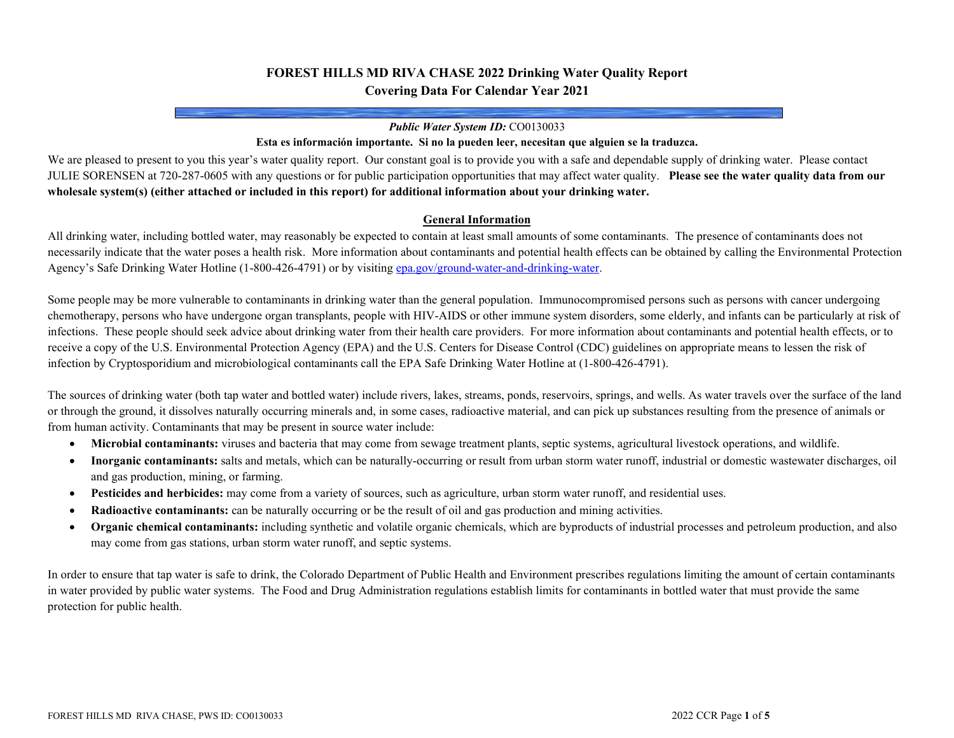# **FOREST HILLS MD RIVA CHASE 2022 Drinking Water Quality Report Covering Data For Calendar Year 2021**

#### *Public Water System ID:* CO0130033

#### **Esta es información importante. Si no la pueden leer, necesitan que alguien se la traduzca.**

We are pleased to present to you this year's water quality report. Our constant goal is to provide you with a safe and dependable supply of drinking water. Please contact JULIE SORENSEN at 720-287-0605 with any questions or for public participation opportunities that may affect water quality. **Please see the water quality data from our wholesale system(s) (either attached or included in this report) for additional information about your drinking water.**

#### **General Information**

All drinking water, including bottled water, may reasonably be expected to contain at least small amounts of some contaminants. The presence of contaminants does not necessarily indicate that the water poses a health risk. More information about contaminants and potential health effects can be obtained by calling the Environmental Protection Agency's Safe Drinking Water Hotline (1-800-426-4791) or by visitin[g epa.gov/ground-water-and-drinking-water.](https://www.epa.gov/ground-water-and-drinking-water)

Some people may be more vulnerable to contaminants in drinking water than the general population. Immunocompromised persons such as persons with cancer undergoing chemotherapy, persons who have undergone organ transplants, people with HIV-AIDS or other immune system disorders, some elderly, and infants can be particularly at risk of infections. These people should seek advice about drinking water from their health care providers. For more information about contaminants and potential health effects, or to receive a copy of the U.S. Environmental Protection Agency (EPA) and the U.S. Centers for Disease Control (CDC) guidelines on appropriate means to lessen the risk of infection by Cryptosporidium and microbiological contaminants call the EPA Safe Drinking Water Hotline at (1-800-426-4791).

The sources of drinking water (both tap water and bottled water) include rivers, lakes, streams, ponds, reservoirs, springs, and wells. As water travels over the surface of the land or through the ground, it dissolves naturally occurring minerals and, in some cases, radioactive material, and can pick up substances resulting from the presence of animals or from human activity. Contaminants that may be present in source water include:

- **Microbial contaminants:** viruses and bacteria that may come from sewage treatment plants, septic systems, agricultural livestock operations, and wildlife.
- **Inorganic contaminants:** salts and metals, which can be naturally-occurring or result from urban storm water runoff, industrial or domestic wastewater discharges, oil and gas production, mining, or farming.
- **Pesticides and herbicides:** may come from a variety of sources, such as agriculture, urban storm water runoff, and residential uses.
- **Radioactive contaminants:** can be naturally occurring or be the result of oil and gas production and mining activities.
- **Organic chemical contaminants:** including synthetic and volatile organic chemicals, which are byproducts of industrial processes and petroleum production, and also may come from gas stations, urban storm water runoff, and septic systems.

In order to ensure that tap water is safe to drink, the Colorado Department of Public Health and Environment prescribes regulations limiting the amount of certain contaminants in water provided by public water systems. The Food and Drug Administration regulations establish limits for contaminants in bottled water that must provide the same protection for public health.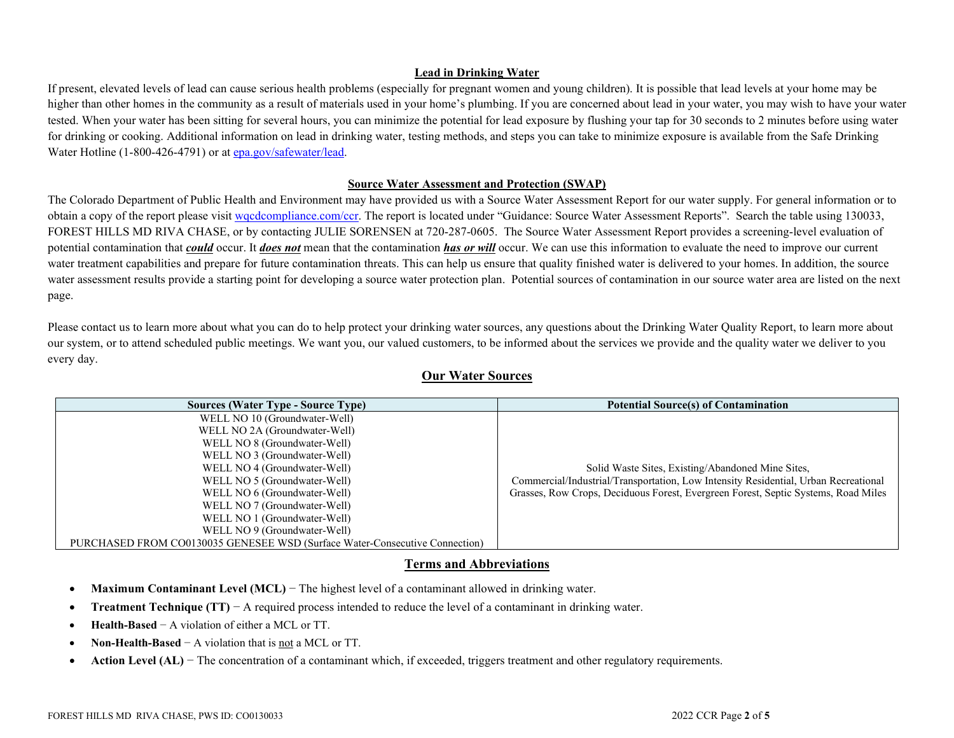### **Lead in Drinking Water**

If present, elevated levels of lead can cause serious health problems (especially for pregnant women and young children). It is possible that lead levels at your home may be higher than other homes in the community as a result of materials used in your home's plumbing. If you are concerned about lead in your water, you may wish to have your water tested. When your water has been sitting for several hours, you can minimize the potential for lead exposure by flushing your tap for 30 seconds to 2 minutes before using water for drinking or cooking. Additional information on lead in drinking water, testing methods, and steps you can take to minimize exposure is available from the Safe Drinking Water Hotline (1-800-426-4791) or a[t epa.gov/safewater/lead.](http://www.epa.gov/safewater/lead)

### **Source Water Assessment and Protection (SWAP)**

The Colorado Department of Public Health and Environment may have provided us with a Source Water Assessment Report for our water supply. For general information or to obtain a copy of the report please visit [wqcdcompliance.com/ccr.](https://wqcdcompliance.com/ccr) The report is located under "Guidance: Source Water Assessment Reports". Search the table using 130033, FOREST HILLS MD RIVA CHASE, or by contacting JULIE SORENSEN at 720-287-0605. The Source Water Assessment Report provides a screening-level evaluation of potential contamination that *could* occur. It *does not* mean that the contamination *has or will* occur. We can use this information to evaluate the need to improve our current water treatment capabilities and prepare for future contamination threats. This can help us ensure that quality finished water is delivered to your homes. In addition, the source water assessment results provide a starting point for developing a source water protection plan. Potential sources of contamination in our source water area are listed on the next page.

Please contact us to learn more about what you can do to help protect your drinking water sources, any questions about the Drinking Water Quality Report, to learn more about our system, or to attend scheduled public meetings. We want you, our valued customers, to be informed about the services we provide and the quality water we deliver to you every day.

### **Our Water Sources**

| <b>Sources (Water Type - Source Type)</b>                                   | <b>Potential Source(s) of Contamination</b>                                         |
|-----------------------------------------------------------------------------|-------------------------------------------------------------------------------------|
| WELL NO 10 (Groundwater-Well)                                               |                                                                                     |
| WELL NO 2A (Groundwater-Well)                                               |                                                                                     |
| WELL NO 8 (Groundwater-Well)                                                |                                                                                     |
| WELL NO 3 (Groundwater-Well)                                                |                                                                                     |
| WELL NO 4 (Groundwater-Well)                                                | Solid Waste Sites, Existing/Abandoned Mine Sites,                                   |
| WELL NO 5 (Groundwater-Well)                                                | Commercial/Industrial/Transportation, Low Intensity Residential, Urban Recreational |
| WELL NO 6 (Groundwater-Well)                                                | Grasses, Row Crops, Deciduous Forest, Evergreen Forest, Septic Systems, Road Miles  |
| WELL NO 7 (Groundwater-Well)                                                |                                                                                     |
| WELL NO 1 (Groundwater-Well)                                                |                                                                                     |
| WELL NO 9 (Groundwater-Well)                                                |                                                                                     |
| PURCHASED FROM CO0130035 GENESEE WSD (Surface Water-Consecutive Connection) |                                                                                     |

## **Terms and Abbreviations**

- **Maximum Contaminant Level (MCL)** − The highest level of a contaminant allowed in drinking water.
- **Treatment Technique (TT)** − A required process intended to reduce the level of a contaminant in drinking water.
- **Health-Based** − A violation of either a MCL or TT.
- **Non-Health-Based** − A violation that is not a MCL or TT.
- **Action Level (AL)** − The concentration of a contaminant which, if exceeded, triggers treatment and other regulatory requirements.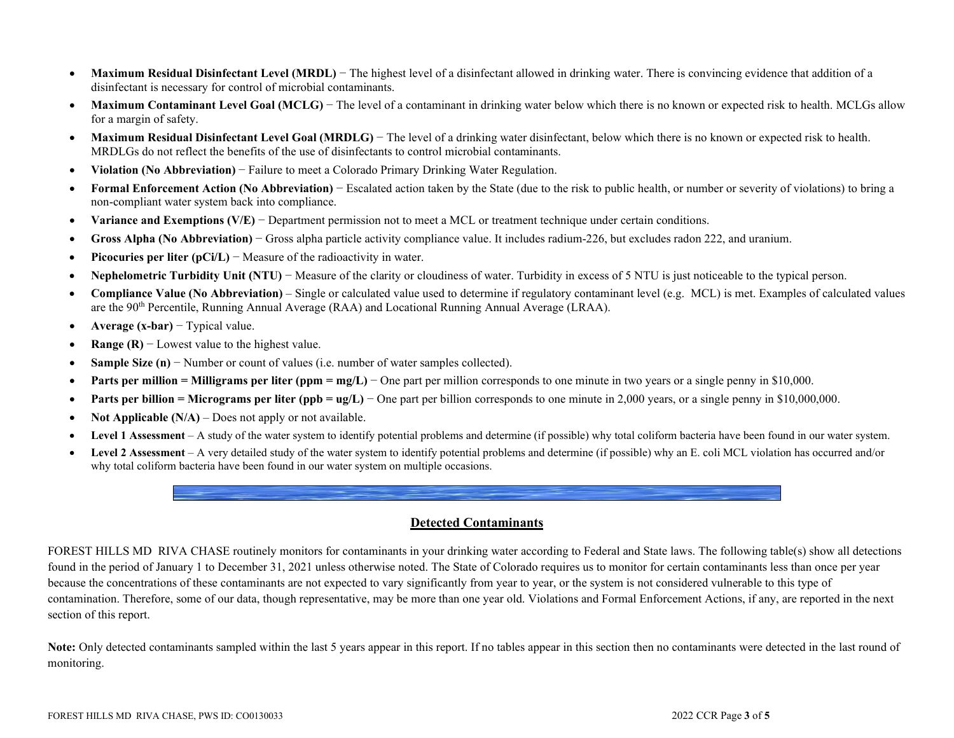- **Maximum Residual Disinfectant Level (MRDL)** The highest level of a disinfectant allowed in drinking water. There is convincing evidence that addition of a disinfectant is necessary for control of microbial contaminants.
- Maximum Contaminant Level Goal (MCLG) The level of a contaminant in drinking water below which there is no known or expected risk to health. MCLGs allow for a margin of safety.
- Maximum Residual Disinfectant Level Goal (MRDLG) The level of a drinking water disinfectant, below which there is no known or expected risk to health. MRDLGs do not reflect the benefits of the use of disinfectants to control microbial contaminants.
- **Violation (No Abbreviation)** − Failure to meet a Colorado Primary Drinking Water Regulation.
- **Formal Enforcement Action (No Abbreviation)** − Escalated action taken by the State (due to the risk to public health, or number or severity of violations) to bring a non-compliant water system back into compliance.
- **Variance and Exemptions (V/E)** − Department permission not to meet a MCL or treatment technique under certain conditions.
- **Gross Alpha (No Abbreviation)** − Gross alpha particle activity compliance value. It includes radium-226, but excludes radon 222, and uranium.
- **Picocuries per liter (pCi/L)** − Measure of the radioactivity in water.
- **Nephelometric Turbidity Unit (NTU)** − Measure of the clarity or cloudiness of water. Turbidity in excess of 5 NTU is just noticeable to the typical person.
- **Compliance Value (No Abbreviation)** Single or calculated value used to determine if regulatory contaminant level (e.g. MCL) is met. Examples of calculated values are the 90th Percentile, Running Annual Average (RAA) and Locational Running Annual Average (LRAA).
- **Average (x-bar)** − Typical value.
- **Range (R)** − Lowest value to the highest value.
- **Sample Size (n)** − Number or count of values (i.e. number of water samples collected).
- **• Parts per million = Milligrams per liter (ppm = mg/L)** One part per million corresponds to one minute in two years or a single penny in \$10,000.
- **Parts per billion = Micrograms per liter (ppb = ug/L)** − One part per billion corresponds to one minute in 2,000 years, or a single penny in \$10,000,000.
- **Not Applicable (N/A)** Does not apply or not available.
- **Level 1 Assessment** A study of the water system to identify potential problems and determine (if possible) why total coliform bacteria have been found in our water system.
- **Level 2 Assessment** A very detailed study of the water system to identify potential problems and determine (if possible) why an E. coli MCL violation has occurred and/or why total coliform bacteria have been found in our water system on multiple occasions.



FOREST HILLS MD RIVA CHASE routinely monitors for contaminants in your drinking water according to Federal and State laws. The following table(s) show all detections found in the period of January 1 to December 31, 2021 unless otherwise noted. The State of Colorado requires us to monitor for certain contaminants less than once per year because the concentrations of these contaminants are not expected to vary significantly from year to year, or the system is not considered vulnerable to this type of contamination. Therefore, some of our data, though representative, may be more than one year old. Violations and Formal Enforcement Actions, if any, are reported in the next section of this report.

Note: Only detected contaminants sampled within the last 5 years appear in this report. If no tables appear in this section then no contaminants were detected in the last round of monitoring.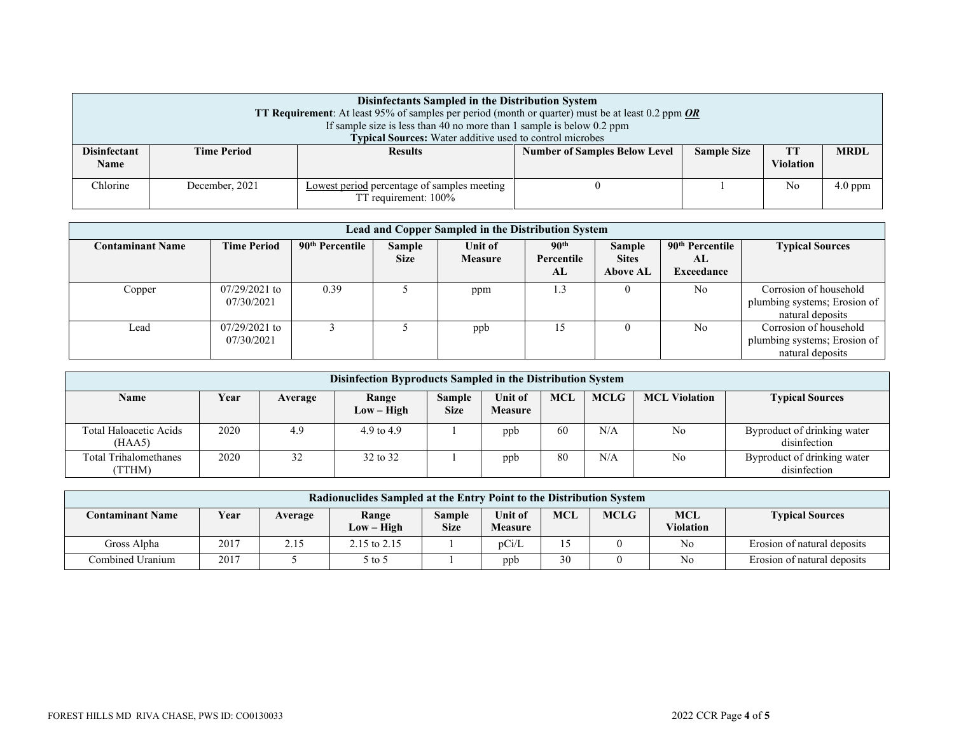| Disinfectants Sampled in the Distribution System<br><b>TT Requirement:</b> At least 95% of samples per period (month or quarter) must be at least 0.2 ppm $OR$<br>If sample size is less than 40 no more than 1 sample is below $0.2$ ppm<br>Typical Sources: Water additive used to control microbes |                    |                                                                                                                       |  |  |    |           |  |  |  |
|-------------------------------------------------------------------------------------------------------------------------------------------------------------------------------------------------------------------------------------------------------------------------------------------------------|--------------------|-----------------------------------------------------------------------------------------------------------------------|--|--|----|-----------|--|--|--|
| <b>Disinfectant</b><br>Name                                                                                                                                                                                                                                                                           | <b>Time Period</b> | <b>MRDI</b><br><b>Number of Samples Below Level</b><br><b>Sample Size</b><br><b>Results</b><br>TT<br><b>Violation</b> |  |  |    |           |  |  |  |
| Chlorine                                                                                                                                                                                                                                                                                              | December, 2021     | Lowest period percentage of samples meeting<br>TT requirement: 100%                                                   |  |  | No | $4.0$ ppm |  |  |  |

| Lead and Copper Sampled in the Distribution System |                               |                             |                       |                           |                                      |                                                  |                                                 |                                                                            |  |  |  |
|----------------------------------------------------|-------------------------------|-----------------------------|-----------------------|---------------------------|--------------------------------------|--------------------------------------------------|-------------------------------------------------|----------------------------------------------------------------------------|--|--|--|
| <b>Contaminant Name</b>                            | <b>Time Period</b>            | 90 <sup>th</sup> Percentile | Sample<br><b>Size</b> | Unit of<br><b>Measure</b> | 90 <sup>th</sup><br>Percentile<br>AL | <b>Sample</b><br><b>Sites</b><br><b>Above AL</b> | 90 <sup>th</sup> Percentile<br>AL<br>Exceedance | <b>Typical Sources</b>                                                     |  |  |  |
| Copper                                             | $07/29/2021$ to<br>07/30/2021 | 0.39                        |                       | ppm                       | 1.3                                  |                                                  | No                                              | Corrosion of household<br>plumbing systems; Erosion of<br>natural deposits |  |  |  |
| Lead                                               | $07/29/2021$ to<br>07/30/2021 |                             |                       | ppb                       | 15                                   | $\theta$                                         | No                                              | Corrosion of household<br>plumbing systems; Erosion of<br>natural deposits |  |  |  |

| Disinfection Byproducts Sampled in the Distribution System |      |         |                       |                              |                           |     |             |                      |                                             |  |
|------------------------------------------------------------|------|---------|-----------------------|------------------------------|---------------------------|-----|-------------|----------------------|---------------------------------------------|--|
| <b>Name</b>                                                | Year | Average | Range<br>$Low - High$ | <b>Sample</b><br><b>Size</b> | Unit of<br><b>Measure</b> | MCL | <b>MCLG</b> | <b>MCL Violation</b> | <b>Typical Sources</b>                      |  |
| Total Haloacetic Acids<br>(HAA5)                           | 2020 | 4.9     | 4.9 to $4.9$          |                              | ppb                       | 60  | N/A         | No.                  | Byproduct of drinking water<br>disinfection |  |
| Total Trihalomethanes<br>(TTHM)                            | 2020 | 32      | 32 to 32              |                              | ppb                       | 80  | N/A         | No                   | Byproduct of drinking water<br>disinfection |  |

| Radionuclides Sampled at the Entry Point to the Distribution System |      |         |                       |                       |                           |            |             |                                |                             |  |
|---------------------------------------------------------------------|------|---------|-----------------------|-----------------------|---------------------------|------------|-------------|--------------------------------|-----------------------------|--|
| <b>Contaminant Name</b>                                             | Year | Average | Range<br>$Low - High$ | Sample<br><b>Size</b> | Unit of<br><b>Measure</b> | <b>MCL</b> | <b>MCLG</b> | <b>MCL</b><br><b>Violation</b> | <b>Typical Sources</b>      |  |
| Gross Alpha                                                         | 2017 | 2.15    | 2.15 to $2.15$        |                       | pCi/L                     |            |             | No                             | Erosion of natural deposits |  |
| Combined Uranium                                                    | 2017 |         | $5$ to $5$            |                       | ppb                       | 30         |             | No                             | Erosion of natural deposits |  |